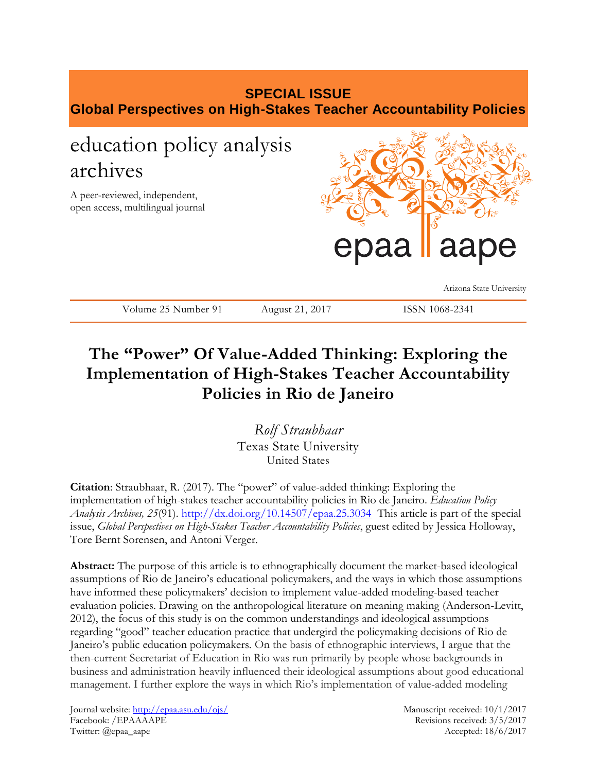# **SPECIAL ISSUE Global Perspectives on High-Stakes Teacher Accountability Policies** education policy analysis archives A peer-reviewed, independent, open access, multilingual journal epaa Arizona State University Volume 25 Number 91 August 21, 2017 ISSN 1068-2341

## **The "Power" Of Value-Added Thinking: Exploring the Implementation of High-Stakes Teacher Accountability Policies in Rio de Janeiro**

*Rolf Straubhaar* Texas State University United States

**Citation**: Straubhaar, R. (2017). The "power" of value-added thinking: Exploring the implementation of high-stakes teacher accountability policies in Rio de Janeiro. *Education Policy Analysis Archives, 25*(91). <http://dx.doi.org/10.14507/epaa.25.3034>This article is part of the special issue, *Global Perspectives on High-Stakes Teacher Accountability Policies*, guest edited by Jessica Holloway, Tore Bernt Sorensen, and Antoni Verger.

**Abstract:** The purpose of this article is to ethnographically document the market-based ideological assumptions of Rio de Janeiro's educational policymakers, and the ways in which those assumptions have informed these policymakers' decision to implement value-added modeling-based teacher evaluation policies. Drawing on the anthropological literature on meaning making (Anderson-Levitt, 2012), the focus of this study is on the common understandings and ideological assumptions regarding "good" teacher education practice that undergird the policymaking decisions of Rio de Janeiro's public education policymakers. On the basis of ethnographic interviews, I argue that the then-current Secretariat of Education in Rio was run primarily by people whose backgrounds in business and administration heavily influenced their ideological assumptions about good educational management. I further explore the ways in which Rio's implementation of value-added modeling

Journal website:<http://epaa.asu.edu/ojs/> Manuscript received: 10/1/2017 Facebook: /EPAAAAPE Revisions received: 3/5/2017 Twitter: @epaa\_aape Accepted: 18/6/2017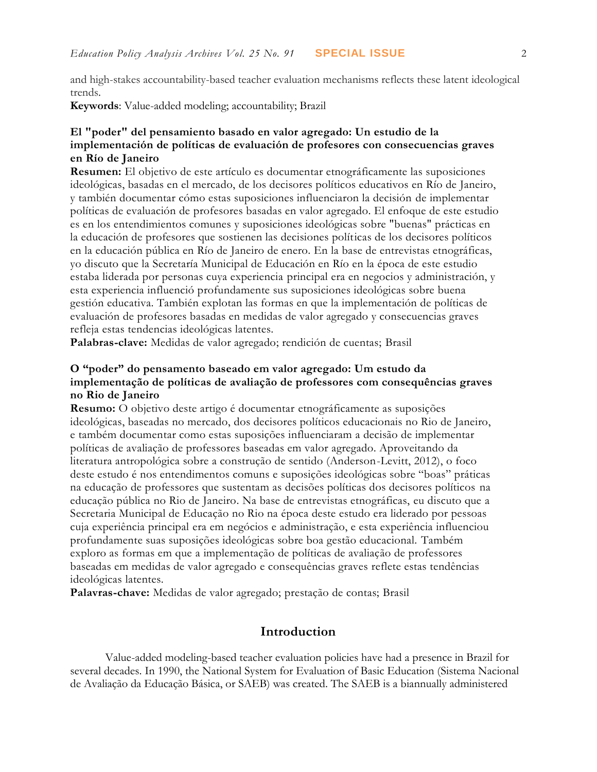and high-stakes accountability-based teacher evaluation mechanisms reflects these latent ideological trends.

**Keywords**: Value-added modeling; accountability; Brazil

## **El "poder" del pensamiento basado en valor agregado: Un estudio de la implementación de políticas de evaluación de profesores con consecuencias graves en Río de Janeiro**

**Resumen:** El objetivo de este artículo es documentar etnográficamente las suposiciones ideológicas, basadas en el mercado, de los decisores políticos educativos en Río de Janeiro, y también documentar cómo estas suposiciones influenciaron la decisión de implementar políticas de evaluación de profesores basadas en valor agregado. El enfoque de este estudio es en los entendimientos comunes y suposiciones ideológicas sobre "buenas" prácticas en la educación de profesores que sostienen las decisiones políticas de los decisores políticos en la educación pública en Río de Janeiro de enero. En la base de entrevistas etnográficas, yo discuto que la Secretaría Municipal de Educación en Río en la época de este estudio estaba liderada por personas cuya experiencia principal era en negocios y administración, y esta experiencia influenció profundamente sus suposiciones ideológicas sobre buena gestión educativa. También explotan las formas en que la implementación de políticas de evaluación de profesores basadas en medidas de valor agregado y consecuencias graves refleja estas tendencias ideológicas latentes.

**Palabras-clave:** Medidas de valor agregado; rendición de cuentas; Brasil

## **O "poder" do pensamento baseado em valor agregado: Um estudo da implementação de políticas de avaliação de professores com consequências graves no Rio de Janeiro**

**Resumo:** O objetivo deste artigo é documentar etnográficamente as suposições ideológicas, baseadas no mercado, dos decisores políticos educacionais no Rio de Janeiro, e também documentar como estas suposições influenciaram a decisão de implementar políticas de avaliação de professores baseadas em valor agregado. Aproveitando da literatura antropológica sobre a construção de sentido (Anderson-Levitt, 2012), o foco deste estudo é nos entendimentos comuns e suposições ideológicas sobre "boas" práticas na educação de professores que sustentam as decisões políticas dos decisores políticos na educação pública no Rio de Janeiro. Na base de entrevistas etnográficas, eu discuto que a Secretaria Municipal de Educação no Rio na época deste estudo era liderado por pessoas cuja experiência principal era em negócios e administração, e esta experiência influenciou profundamente suas suposições ideológicas sobre boa gestão educacional. Também exploro as formas em que a implementação de políticas de avaliação de professores baseadas em medidas de valor agregado e consequências graves reflete estas tendências ideológicas latentes.

**Palavras-chave:** Medidas de valor agregado; prestação de contas; Brasil

#### **Introduction**

Value-added modeling-based teacher evaluation policies have had a presence in Brazil for several decades. In 1990, the National System for Evaluation of Basic Education (Sistema Nacional de Avaliação da Educação Básica, or SAEB) was created. The SAEB is a biannually administered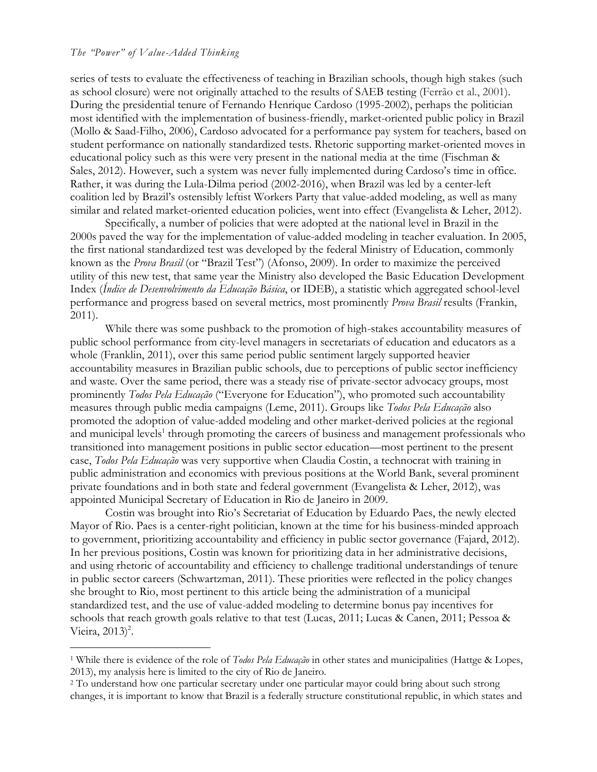#### *The "Power" of Value-Added Thinking*

 $\overline{a}$ 

series of tests to evaluate the effectiveness of teaching in Brazilian schools, though high stakes (such as school closure) were not originally attached to the results of SAEB testing (Ferrão et al., 2001). During the presidential tenure of Fernando Henrique Cardoso (1995-2002), perhaps the politician most identified with the implementation of business-friendly, market-oriented public policy in Brazil (Mollo & Saad-Filho, 2006), Cardoso advocated for a performance pay system for teachers, based on student performance on nationally standardized tests. Rhetoric supporting market-oriented moves in educational policy such as this were very present in the national media at the time (Fischman & Sales, 2012). However, such a system was never fully implemented during Cardoso's time in office. Rather, it was during the Lula-Dilma period (2002-2016), when Brazil was led by a center-left coalition led by Brazil's ostensibly leftist Workers Party that value-added modeling, as well as many similar and related market-oriented education policies, went into effect (Evangelista & Leher, 2012).

Specifically, a number of policies that were adopted at the national level in Brazil in the 2000s paved the way for the implementation of value-added modeling in teacher evaluation. In 2005, the first national standardized test was developed by the federal Ministry of Education, commonly known as the *Prova Brasil* (or "Brazil Test") (Afonso, 2009). In order to maximize the perceived utility of this new test, that same year the Ministry also developed the Basic Education Development Index (*Índice de Desenvolvimento da Educação Básica*, or IDEB), a statistic which aggregated school-level performance and progress based on several metrics, most prominently *Prova Brasil* results (Frankin, 2011).

While there was some pushback to the promotion of high-stakes accountability measures of public school performance from city-level managers in secretariats of education and educators as a whole (Franklin, 2011), over this same period public sentiment largely supported heavier accountability measures in Brazilian public schools, due to perceptions of public sector inefficiency and waste. Over the same period, there was a steady rise of private-sector advocacy groups, most prominently *Todos Pela Educação* ("Everyone for Education"), who promoted such accountability measures through public media campaigns (Leme, 2011). Groups like *Todos Pela Educação* also promoted the adoption of value-added modeling and other market-derived policies at the regional and municipal levels<sup>1</sup> through promoting the careers of business and management professionals who transitioned into management positions in public sector education—most pertinent to the present case, *Todos Pela Educação* was very supportive when Claudia Costin, a technocrat with training in public administration and economics with previous positions at the World Bank, several prominent private foundations and in both state and federal government (Evangelista & Leher, 2012), was appointed Municipal Secretary of Education in Rio de Janeiro in 2009.

Costin was brought into Rio's Secretariat of Education by Eduardo Paes, the newly elected Mayor of Rio. Paes is a center-right politician, known at the time for his business-minded approach to government, prioritizing accountability and efficiency in public sector governance (Fajard, 2012). In her previous positions, Costin was known for prioritizing data in her administrative decisions, and using rhetoric of accountability and efficiency to challenge traditional understandings of tenure in public sector careers (Schwartzman, 2011). These priorities were reflected in the policy changes she brought to Rio, most pertinent to this article being the administration of a municipal standardized test, and the use of value-added modeling to determine bonus pay incentives for schools that reach growth goals relative to that test (Lucas, 2011; Lucas & Canen, 2011; Pessoa & Vieira,  $2013$ <sup>2</sup>.

<sup>1</sup> While there is evidence of the role of *Todos Pela Educação* in other states and municipalities (Hattge & Lopes, 2013), my analysis here is limited to the city of Rio de Janeiro.

<sup>2</sup> To understand how one particular secretary under one particular mayor could bring about such strong changes, it is important to know that Brazil is a federally structure constitutional republic, in which states and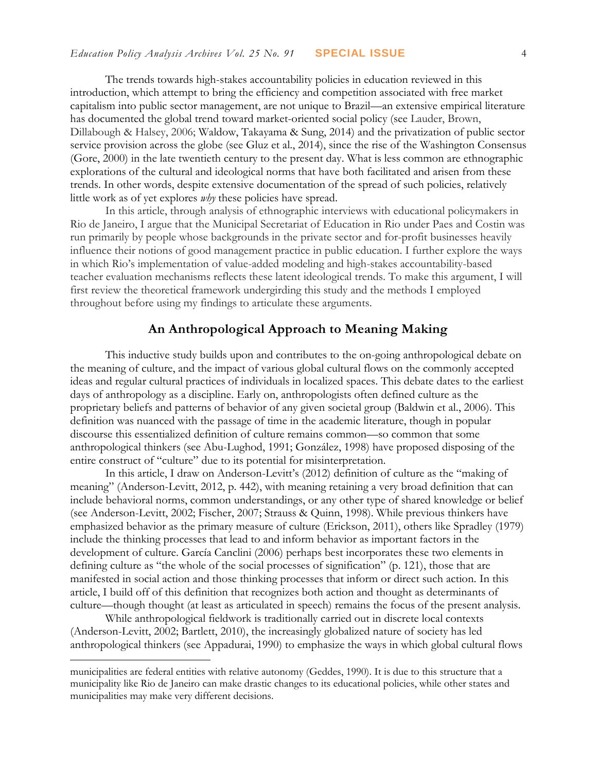The trends towards high-stakes accountability policies in education reviewed in this introduction, which attempt to bring the efficiency and competition associated with free market capitalism into public sector management, are not unique to Brazil—an extensive empirical literature has documented the global trend toward market-oriented social policy (see Lauder, Brown, Dillabough & Halsey, 2006; Waldow, Takayama & Sung, 2014) and the privatization of public sector service provision across the globe (see Gluz et al., 2014), since the rise of the Washington Consensus (Gore, 2000) in the late twentieth century to the present day. What is less common are ethnographic explorations of the cultural and ideological norms that have both facilitated and arisen from these trends. In other words, despite extensive documentation of the spread of such policies, relatively little work as of yet explores *why* these policies have spread.

In this article, through analysis of ethnographic interviews with educational policymakers in Rio de Janeiro, I argue that the Municipal Secretariat of Education in Rio under Paes and Costin was run primarily by people whose backgrounds in the private sector and for-profit businesses heavily influence their notions of good management practice in public education. I further explore the ways in which Rio's implementation of value-added modeling and high-stakes accountability-based teacher evaluation mechanisms reflects these latent ideological trends. To make this argument, I will first review the theoretical framework undergirding this study and the methods I employed throughout before using my findings to articulate these arguments.

## **An Anthropological Approach to Meaning Making**

This inductive study builds upon and contributes to the on-going anthropological debate on the meaning of culture, and the impact of various global cultural flows on the commonly accepted ideas and regular cultural practices of individuals in localized spaces. This debate dates to the earliest days of anthropology as a discipline. Early on, anthropologists often defined culture as the proprietary beliefs and patterns of behavior of any given societal group (Baldwin et al., 2006). This definition was nuanced with the passage of time in the academic literature, though in popular discourse this essentialized definition of culture remains common—so common that some anthropological thinkers (see Abu-Lughod, 1991; González, 1998) have proposed disposing of the entire construct of "culture" due to its potential for misinterpretation.

In this article, I draw on Anderson-Levitt's (2012) definition of culture as the "making of meaning" (Anderson-Levitt, 2012, p. 442), with meaning retaining a very broad definition that can include behavioral norms, common understandings, or any other type of shared knowledge or belief (see Anderson-Levitt, 2002; Fischer, 2007; Strauss & Quinn, 1998). While previous thinkers have emphasized behavior as the primary measure of culture (Erickson, 2011), others like Spradley (1979) include the thinking processes that lead to and inform behavior as important factors in the development of culture. García Canclini (2006) perhaps best incorporates these two elements in defining culture as "the whole of the social processes of signification" (p. 121), those that are manifested in social action and those thinking processes that inform or direct such action. In this article, I build off of this definition that recognizes both action and thought as determinants of culture—though thought (at least as articulated in speech) remains the focus of the present analysis.

While anthropological fieldwork is traditionally carried out in discrete local contexts (Anderson-Levitt, 2002; Bartlett, 2010), the increasingly globalized nature of society has led anthropological thinkers (see Appadurai, 1990) to emphasize the ways in which global cultural flows

 $\overline{a}$ 

municipalities are federal entities with relative autonomy (Geddes, 1990). It is due to this structure that a municipality like Rio de Janeiro can make drastic changes to its educational policies, while other states and municipalities may make very different decisions.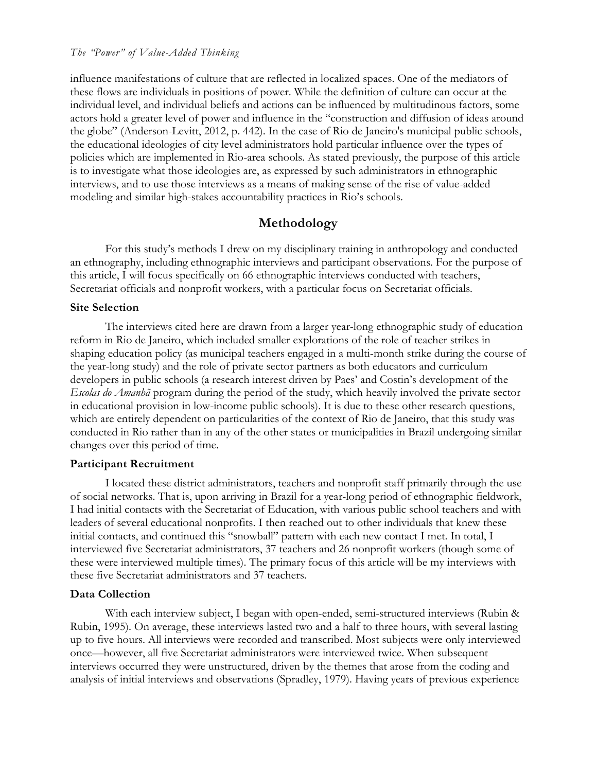influence manifestations of culture that are reflected in localized spaces. One of the mediators of these flows are individuals in positions of power. While the definition of culture can occur at the individual level, and individual beliefs and actions can be influenced by multitudinous factors, some actors hold a greater level of power and influence in the "construction and diffusion of ideas around the globe" (Anderson-Levitt, 2012, p. 442). In the case of Rio de Janeiro's municipal public schools, the educational ideologies of city level administrators hold particular influence over the types of policies which are implemented in Rio-area schools. As stated previously, the purpose of this article is to investigate what those ideologies are, as expressed by such administrators in ethnographic interviews, and to use those interviews as a means of making sense of the rise of value-added modeling and similar high-stakes accountability practices in Rio's schools.

## **Methodology**

For this study's methods I drew on my disciplinary training in anthropology and conducted an ethnography, including ethnographic interviews and participant observations. For the purpose of this article, I will focus specifically on 66 ethnographic interviews conducted with teachers, Secretariat officials and nonprofit workers, with a particular focus on Secretariat officials.

#### **Site Selection**

The interviews cited here are drawn from a larger year-long ethnographic study of education reform in Rio de Janeiro, which included smaller explorations of the role of teacher strikes in shaping education policy (as municipal teachers engaged in a multi-month strike during the course of the year-long study) and the role of private sector partners as both educators and curriculum developers in public schools (a research interest driven by Paes' and Costin's development of the *Escolas do Amanhã* program during the period of the study, which heavily involved the private sector in educational provision in low-income public schools). It is due to these other research questions, which are entirely dependent on particularities of the context of Rio de Janeiro, that this study was conducted in Rio rather than in any of the other states or municipalities in Brazil undergoing similar changes over this period of time.

#### **Participant Recruitment**

I located these district administrators, teachers and nonprofit staff primarily through the use of social networks. That is, upon arriving in Brazil for a year-long period of ethnographic fieldwork, I had initial contacts with the Secretariat of Education, with various public school teachers and with leaders of several educational nonprofits. I then reached out to other individuals that knew these initial contacts, and continued this "snowball" pattern with each new contact I met. In total, I interviewed five Secretariat administrators, 37 teachers and 26 nonprofit workers (though some of these were interviewed multiple times). The primary focus of this article will be my interviews with these five Secretariat administrators and 37 teachers.

## **Data Collection**

With each interview subject, I began with open-ended, semi-structured interviews (Rubin & Rubin, 1995). On average, these interviews lasted two and a half to three hours, with several lasting up to five hours. All interviews were recorded and transcribed. Most subjects were only interviewed once—however, all five Secretariat administrators were interviewed twice. When subsequent interviews occurred they were unstructured, driven by the themes that arose from the coding and analysis of initial interviews and observations (Spradley, 1979). Having years of previous experience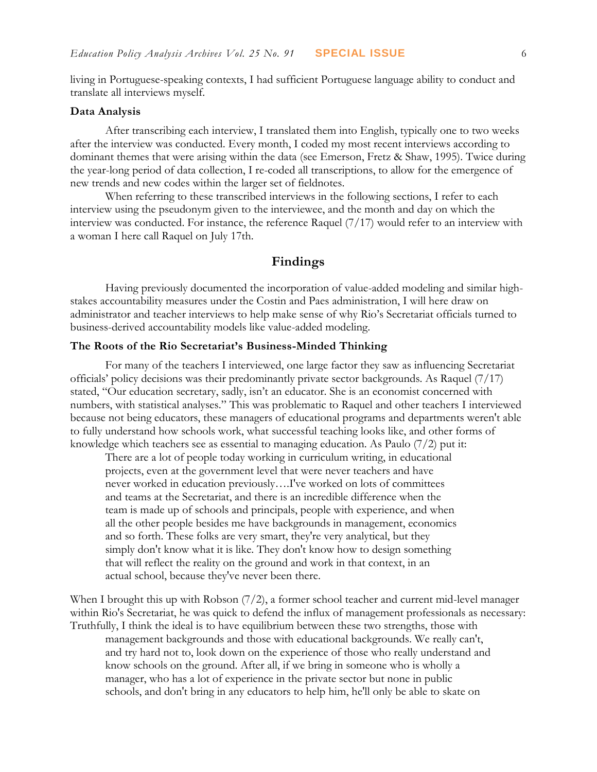living in Portuguese-speaking contexts, I had sufficient Portuguese language ability to conduct and translate all interviews myself.

#### **Data Analysis**

After transcribing each interview, I translated them into English, typically one to two weeks after the interview was conducted. Every month, I coded my most recent interviews according to dominant themes that were arising within the data (see Emerson, Fretz & Shaw, 1995). Twice during the year-long period of data collection, I re-coded all transcriptions, to allow for the emergence of new trends and new codes within the larger set of fieldnotes.

When referring to these transcribed interviews in the following sections, I refer to each interview using the pseudonym given to the interviewee, and the month and day on which the interview was conducted. For instance, the reference Raquel (7/17) would refer to an interview with a woman I here call Raquel on July 17th.

## **Findings**

Having previously documented the incorporation of value-added modeling and similar highstakes accountability measures under the Costin and Paes administration, I will here draw on administrator and teacher interviews to help make sense of why Rio's Secretariat officials turned to business-derived accountability models like value-added modeling.

## **The Roots of the Rio Secretariat's Business-Minded Thinking**

For many of the teachers I interviewed, one large factor they saw as influencing Secretariat officials' policy decisions was their predominantly private sector backgrounds. As Raquel (7/17) stated, "Our education secretary, sadly, isn't an educator. She is an economist concerned with numbers, with statistical analyses." This was problematic to Raquel and other teachers I interviewed because not being educators, these managers of educational programs and departments weren't able to fully understand how schools work, what successful teaching looks like, and other forms of knowledge which teachers see as essential to managing education. As Paulo (7/2) put it:

There are a lot of people today working in curriculum writing, in educational projects, even at the government level that were never teachers and have never worked in education previously….I've worked on lots of committees and teams at the Secretariat, and there is an incredible difference when the team is made up of schools and principals, people with experience, and when all the other people besides me have backgrounds in management, economics and so forth. These folks are very smart, they're very analytical, but they simply don't know what it is like. They don't know how to design something that will reflect the reality on the ground and work in that context, in an actual school, because they've never been there.

When I brought this up with Robson (7/2), a former school teacher and current mid-level manager within Rio's Secretariat, he was quick to defend the influx of management professionals as necessary: Truthfully, I think the ideal is to have equilibrium between these two strengths, those with

management backgrounds and those with educational backgrounds. We really can't, and try hard not to, look down on the experience of those who really understand and know schools on the ground. After all, if we bring in someone who is wholly a manager, who has a lot of experience in the private sector but none in public schools, and don't bring in any educators to help him, he'll only be able to skate on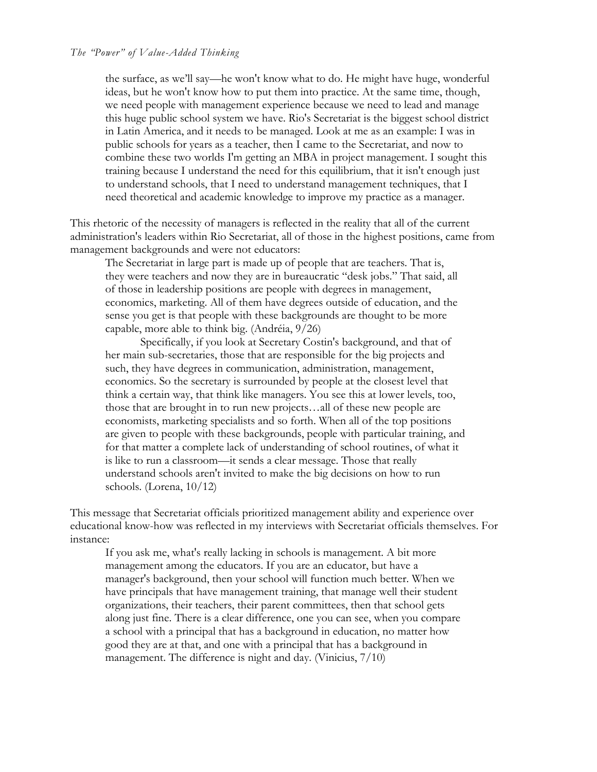the surface, as we'll say—he won't know what to do. He might have huge, wonderful ideas, but he won't know how to put them into practice. At the same time, though, we need people with management experience because we need to lead and manage this huge public school system we have. Rio's Secretariat is the biggest school district in Latin America, and it needs to be managed. Look at me as an example: I was in public schools for years as a teacher, then I came to the Secretariat, and now to combine these two worlds I'm getting an MBA in project management. I sought this training because I understand the need for this equilibrium, that it isn't enough just to understand schools, that I need to understand management techniques, that I need theoretical and academic knowledge to improve my practice as a manager.

This rhetoric of the necessity of managers is reflected in the reality that all of the current administration's leaders within Rio Secretariat, all of those in the highest positions, came from management backgrounds and were not educators:

The Secretariat in large part is made up of people that are teachers. That is, they were teachers and now they are in bureaucratic "desk jobs." That said, all of those in leadership positions are people with degrees in management, economics, marketing. All of them have degrees outside of education, and the sense you get is that people with these backgrounds are thought to be more capable, more able to think big. (Andréia, 9/26)

Specifically, if you look at Secretary Costin's background, and that of her main sub-secretaries, those that are responsible for the big projects and such, they have degrees in communication, administration, management, economics. So the secretary is surrounded by people at the closest level that think a certain way, that think like managers. You see this at lower levels, too, those that are brought in to run new projects…all of these new people are economists, marketing specialists and so forth. When all of the top positions are given to people with these backgrounds, people with particular training, and for that matter a complete lack of understanding of school routines, of what it is like to run a classroom—it sends a clear message. Those that really understand schools aren't invited to make the big decisions on how to run schools. (Lorena, 10/12)

This message that Secretariat officials prioritized management ability and experience over educational know-how was reflected in my interviews with Secretariat officials themselves. For instance:

If you ask me, what's really lacking in schools is management. A bit more management among the educators. If you are an educator, but have a manager's background, then your school will function much better. When we have principals that have management training, that manage well their student organizations, their teachers, their parent committees, then that school gets along just fine. There is a clear difference, one you can see, when you compare a school with a principal that has a background in education, no matter how good they are at that, and one with a principal that has a background in management. The difference is night and day. (Vinicius, 7/10)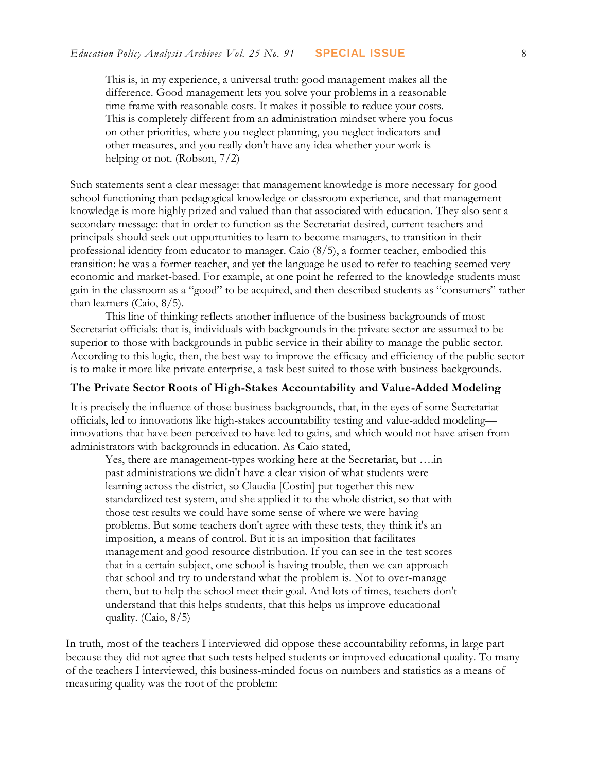This is, in my experience, a universal truth: good management makes all the difference. Good management lets you solve your problems in a reasonable time frame with reasonable costs. It makes it possible to reduce your costs. This is completely different from an administration mindset where you focus on other priorities, where you neglect planning, you neglect indicators and other measures, and you really don't have any idea whether your work is helping or not. (Robson, 7/2)

Such statements sent a clear message: that management knowledge is more necessary for good school functioning than pedagogical knowledge or classroom experience, and that management knowledge is more highly prized and valued than that associated with education. They also sent a secondary message: that in order to function as the Secretariat desired, current teachers and principals should seek out opportunities to learn to become managers, to transition in their professional identity from educator to manager. Caio (8/5), a former teacher, embodied this transition: he was a former teacher, and yet the language he used to refer to teaching seemed very economic and market-based. For example, at one point he referred to the knowledge students must gain in the classroom as a "good" to be acquired, and then described students as "consumers" rather than learners (Caio, 8/5).

This line of thinking reflects another influence of the business backgrounds of most Secretariat officials: that is, individuals with backgrounds in the private sector are assumed to be superior to those with backgrounds in public service in their ability to manage the public sector. According to this logic, then, the best way to improve the efficacy and efficiency of the public sector is to make it more like private enterprise, a task best suited to those with business backgrounds.

#### **The Private Sector Roots of High-Stakes Accountability and Value-Added Modeling**

It is precisely the influence of those business backgrounds, that, in the eyes of some Secretariat officials, led to innovations like high-stakes accountability testing and value-added modeling innovations that have been perceived to have led to gains, and which would not have arisen from administrators with backgrounds in education. As Caio stated,

Yes, there are management-types working here at the Secretariat, but ….in past administrations we didn't have a clear vision of what students were learning across the district, so Claudia [Costin] put together this new standardized test system, and she applied it to the whole district, so that with those test results we could have some sense of where we were having problems. But some teachers don't agree with these tests, they think it's an imposition, a means of control. But it is an imposition that facilitates management and good resource distribution. If you can see in the test scores that in a certain subject, one school is having trouble, then we can approach that school and try to understand what the problem is. Not to over-manage them, but to help the school meet their goal. And lots of times, teachers don't understand that this helps students, that this helps us improve educational quality. (Caio, 8/5)

In truth, most of the teachers I interviewed did oppose these accountability reforms, in large part because they did not agree that such tests helped students or improved educational quality. To many of the teachers I interviewed, this business-minded focus on numbers and statistics as a means of measuring quality was the root of the problem: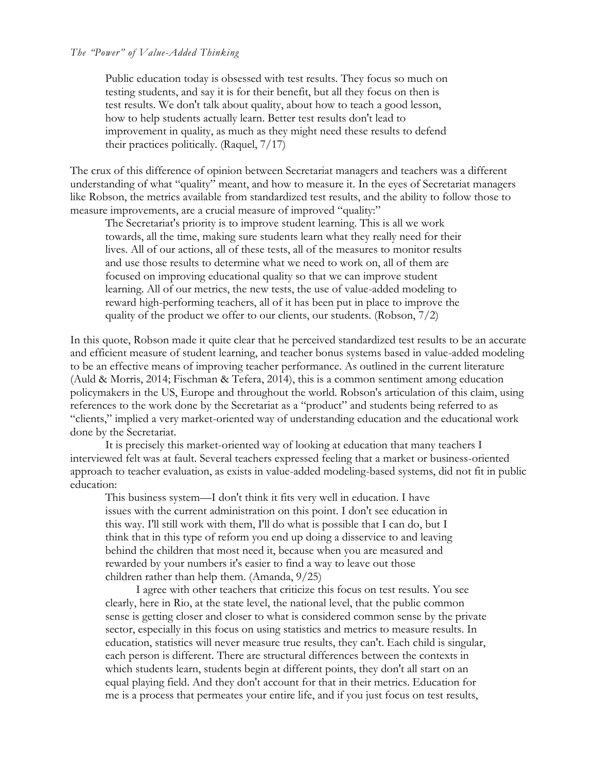Public education today is obsessed with test results. They focus so much on testing students, and say it is for their benefit, but all they focus on then is test results. We don't talk about quality, about how to teach a good lesson, how to help students actually learn. Better test results don't lead to improvement in quality, as much as they might need these results to defend their practices politically. (Raquel, 7/17)

The crux of this difference of opinion between Secretariat managers and teachers was a different understanding of what "quality" meant, and how to measure it. In the eyes of Secretariat managers like Robson, the metrics available from standardized test results, and the ability to follow those to measure improvements, are a crucial measure of improved "quality:"

The Secretariat's priority is to improve student learning. This is all we work towards, all the time, making sure students learn what they really need for their lives. All of our actions, all of these tests, all of the measures to monitor results and use those results to determine what we need to work on, all of them are focused on improving educational quality so that we can improve student learning. All of our metrics, the new tests, the use of value-added modeling to reward high-performing teachers, all of it has been put in place to improve the quality of the product we offer to our clients, our students. (Robson, 7/2)

In this quote, Robson made it quite clear that he perceived standardized test results to be an accurate and efficient measure of student learning, and teacher bonus systems based in value-added modeling to be an effective means of improving teacher performance. As outlined in the current literature (Auld & Morris, 2014; Fischman & Tefera, 2014), this is a common sentiment among education policymakers in the US, Europe and throughout the world. Robson's articulation of this claim, using references to the work done by the Secretariat as a "product" and students being referred to as "clients," implied a very market-oriented way of understanding education and the educational work done by the Secretariat.

It is precisely this market-oriented way of looking at education that many teachers I interviewed felt was at fault. Several teachers expressed feeling that a market or business-oriented approach to teacher evaluation, as exists in value-added modeling-based systems, did not fit in public education:

This business system—I don't think it fits very well in education. I have issues with the current administration on this point. I don't see education in this way. I'll still work with them, I'll do what is possible that I can do, but I think that in this type of reform you end up doing a disservice to and leaving behind the children that most need it, because when you are measured and rewarded by your numbers it's easier to find a way to leave out those children rather than help them. (Amanda, 9/25)

I agree with other teachers that criticize this focus on test results. You see clearly, here in Rio, at the state level, the national level, that the public common sense is getting closer and closer to what is considered common sense by the private sector, especially in this focus on using statistics and metrics to measure results. In education, statistics will never measure true results, they can't. Each child is singular, each person is different. There are structural differences between the contexts in which students learn, students begin at different points, they don't all start on an equal playing field. And they don't account for that in their metrics. Education for me is a process that permeates your entire life, and if you just focus on test results,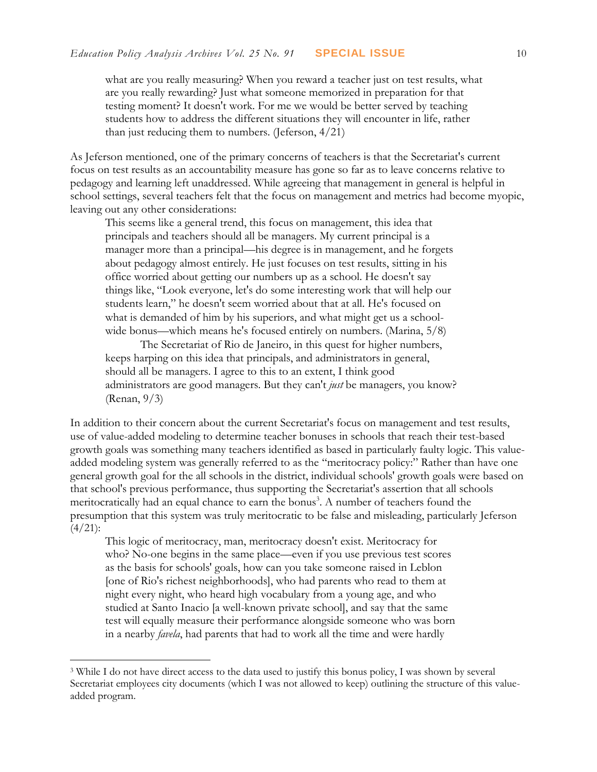what are you really measuring? When you reward a teacher just on test results, what are you really rewarding? Just what someone memorized in preparation for that testing moment? It doesn't work. For me we would be better served by teaching students how to address the different situations they will encounter in life, rather than just reducing them to numbers. (Jeferson,  $4/21$ )

As Jeferson mentioned, one of the primary concerns of teachers is that the Secretariat's current focus on test results as an accountability measure has gone so far as to leave concerns relative to pedagogy and learning left unaddressed. While agreeing that management in general is helpful in school settings, several teachers felt that the focus on management and metrics had become myopic, leaving out any other considerations:

This seems like a general trend, this focus on management, this idea that principals and teachers should all be managers. My current principal is a manager more than a principal—his degree is in management, and he forgets about pedagogy almost entirely. He just focuses on test results, sitting in his office worried about getting our numbers up as a school. He doesn't say things like, "Look everyone, let's do some interesting work that will help our students learn," he doesn't seem worried about that at all. He's focused on what is demanded of him by his superiors, and what might get us a schoolwhich is demanded of thin by the superiors, and which ingeniged as a sensor wide bonus—which means he's focused entirely on numbers. (Marina, 5/8)

The Secretariat of Rio de Janeiro, in this quest for higher numbers, keeps harping on this idea that principals, and administrators in general, should all be managers. I agree to this to an extent, I think good administrators are good managers. But they can't *just* be managers, you know? (Renan, 9/3)

In addition to their concern about the current Secretariat's focus on management and test results, use of value-added modeling to determine teacher bonuses in schools that reach their test-based growth goals was something many teachers identified as based in particularly faulty logic. This valueadded modeling system was generally referred to as the "meritocracy policy:" Rather than have one general growth goal for the all schools in the district, individual schools' growth goals were based on that school's previous performance, thus supporting the Secretariat's assertion that all schools meritocratically had an equal chance to earn the bonus<sup>3</sup>. A number of teachers found the presumption that this system was truly meritocratic to be false and misleading, particularly Jeferson  $(4/21)$ :

This logic of meritocracy, man, meritocracy doesn't exist. Meritocracy for who? No-one begins in the same place—even if you use previous test scores as the basis for schools' goals, how can you take someone raised in Leblon [one of Rio's richest neighborhoods], who had parents who read to them at night every night, who heard high vocabulary from a young age, and who studied at Santo Inacio [a well-known private school], and say that the same test will equally measure their performance alongside someone who was born in a nearby *favela*, had parents that had to work all the time and were hardly

 $\overline{a}$ 

<sup>&</sup>lt;sup>3</sup> While I do not have direct access to the data used to justify this bonus policy, I was shown by several Secretariat employees city documents (which I was not allowed to keep) outlining the structure of this valueadded program.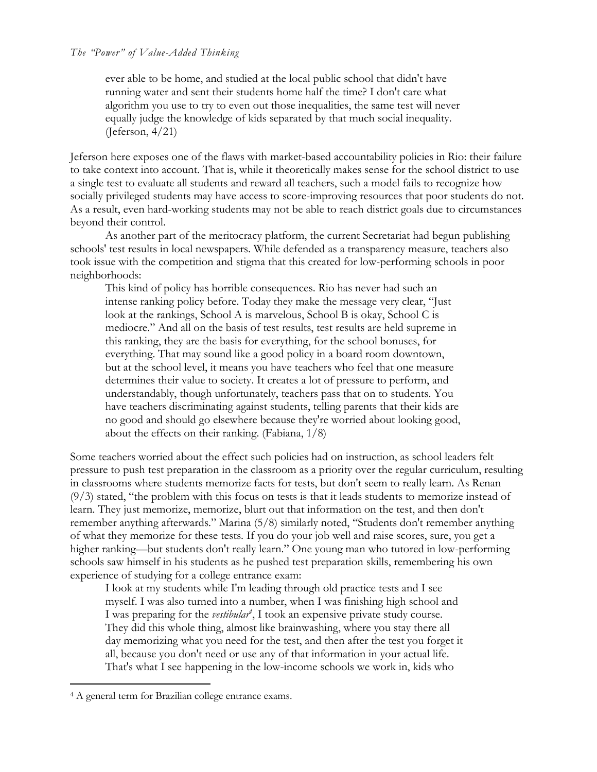ever able to be home, and studied at the local public school that didn't have running water and sent their students home half the time? I don't care what algorithm you use to try to even out those inequalities, the same test will never equally judge the knowledge of kids separated by that much social inequality. (Jeferson, 4/21)

Jeferson here exposes one of the flaws with market-based accountability policies in Rio: their failure to take context into account. That is, while it theoretically makes sense for the school district to use a single test to evaluate all students and reward all teachers, such a model fails to recognize how socially privileged students may have access to score-improving resources that poor students do not. As a result, even hard-working students may not be able to reach district goals due to circumstances beyond their control.

As another part of the meritocracy platform, the current Secretariat had begun publishing schools' test results in local newspapers. While defended as a transparency measure, teachers also took issue with the competition and stigma that this created for low-performing schools in poor neighborhoods:

This kind of policy has horrible consequences. Rio has never had such an intense ranking policy before. Today they make the message very clear, "Just look at the rankings, School A is marvelous, School B is okay, School C is mediocre." And all on the basis of test results, test results are held supreme in this ranking, they are the basis for everything, for the school bonuses, for everything. That may sound like a good policy in a board room downtown, but at the school level, it means you have teachers who feel that one measure determines their value to society. It creates a lot of pressure to perform, and understandably, though unfortunately, teachers pass that on to students. You have teachers discriminating against students, telling parents that their kids are no good and should go elsewhere because they're worried about looking good, about the effects on their ranking. (Fabiana, 1/8)

Some teachers worried about the effect such policies had on instruction, as school leaders felt pressure to push test preparation in the classroom as a priority over the regular curriculum, resulting in classrooms where students memorize facts for tests, but don't seem to really learn. As Renan  $(9/3)$  stated, "the problem with this focus on tests is that it leads students to memorize instead of learn. They just memorize, memorize, blurt out that information on the test, and then don't remember anything afterwards." Marina (5/8) similarly noted, "Students don't remember anything of what they memorize for these tests. If you do your job well and raise scores, sure, you get a higher ranking—but students don't really learn." One young man who tutored in low-performing schools saw himself in his students as he pushed test preparation skills, remembering his own experience of studying for a college entrance exam:

I look at my students while I'm leading through old practice tests and I see myself. I was also turned into a number, when I was finishing high school and I was preparing for the *vestibular<sup>4</sup>* , I took an expensive private study course. They did this whole thing, almost like brainwashing, where you stay there all day memorizing what you need for the test, and then after the test you forget it all, because you don't need or use any of that information in your actual life. That's what I see happening in the low-income schools we work in, kids who

 $\overline{a}$ 

<sup>4</sup> A general term for Brazilian college entrance exams.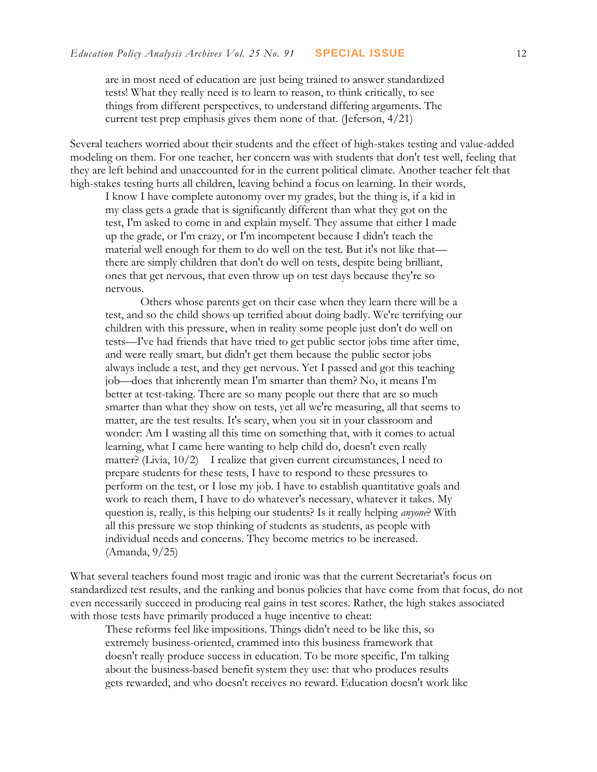are in most need of education are just being trained to answer standardized tests! What they really need is to learn to reason, to think critically, to see things from different perspectives, to understand differing arguments. The current test prep emphasis gives them none of that. (Jeferson, 4/21)

Several teachers worried about their students and the effect of high-stakes testing and value-added modeling on them. For one teacher, her concern was with students that don't test well, feeling that they are left behind and unaccounted for in the current political climate. Another teacher felt that high-stakes testing hurts all children, leaving behind a focus on learning. In their words,

I know I have complete autonomy over my grades, but the thing is, if a kid in my class gets a grade that is significantly different than what they got on the test, I'm asked to come in and explain myself. They assume that either I made up the grade, or I'm crazy, or I'm incompetent because I didn't teach the material well enough for them to do well on the test. But it's not like that there are simply children that don't do well on tests, despite being brilliant, ones that get nervous, that even throw up on test days because they're so nervous.

Others whose parents get on their case when they learn there will be a test, and so the child shows up terrified about doing badly. We're terrifying our children with this pressure, when in reality some people just don't do well on tests—I've had friends that have tried to get public sector jobs time after time, and were really smart, but didn't get them because the public sector jobs always include a test, and they get nervous. Yet I passed and got this teaching job—does that inherently mean I'm smarter than them? No, it means I'm better at test-taking. There are so many people out there that are so much smarter than what they show on tests, yet all we're measuring, all that seems to matter, are the test results. It's scary, when you sit in your classroom and wonder: Am I wasting all this time on something that, with it comes to actual learning, what I came here wanting to help child do, doesn't even really matter? (Livia, 10/2) I realize that given current circumstances, I need to prepare students for these tests, I have to respond to these pressures to perform on the test, or I lose my job. I have to establish quantitative goals and work to reach them, I have to do whatever's necessary, whatever it takes. My question is, really, is this helping our students? Is it really helping *anyone*? With all this pressure we stop thinking of students as students, as people with individual needs and concerns. They become metrics to be increased. (Amanda, 9/25)

What several teachers found most tragic and ironic was that the current Secretariat's focus on standardized test results, and the ranking and bonus policies that have come from that focus, do not even necessarily succeed in producing real gains in test scores. Rather, the high stakes associated with those tests have primarily produced a huge incentive to cheat:

These reforms feel like impositions. Things didn't need to be like this, so extremely business-oriented, crammed into this business framework that doesn't really produce success in education. To be more specific, I'm talking about the business-based benefit system they use: that who produces results gets rewarded, and who doesn't receives no reward. Education doesn't work like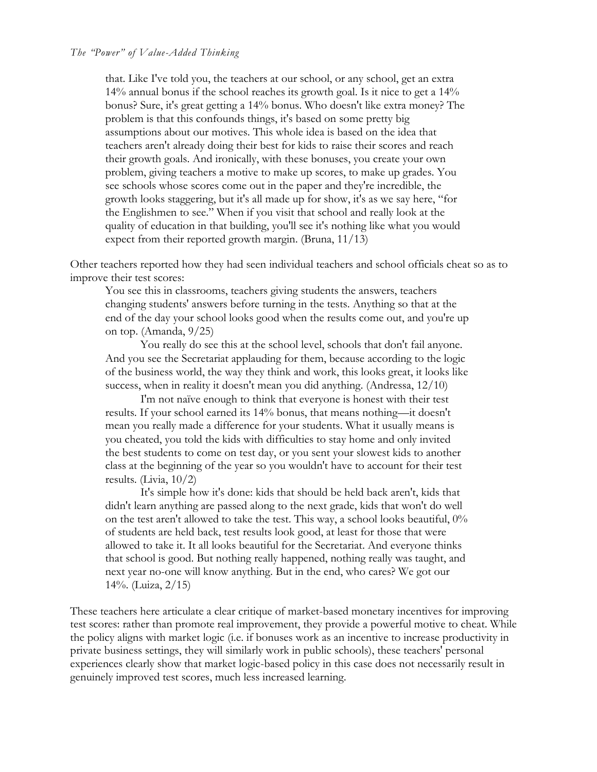that. Like I've told you, the teachers at our school, or any school, get an extra 14% annual bonus if the school reaches its growth goal. Is it nice to get a 14% bonus? Sure, it's great getting a 14% bonus. Who doesn't like extra money? The problem is that this confounds things, it's based on some pretty big assumptions about our motives. This whole idea is based on the idea that teachers aren't already doing their best for kids to raise their scores and reach their growth goals. And ironically, with these bonuses, you create your own problem, giving teachers a motive to make up scores, to make up grades. You see schools whose scores come out in the paper and they're incredible, the growth looks staggering, but it's all made up for show, it's as we say here, "for the Englishmen to see." When if you visit that school and really look at the quality of education in that building, you'll see it's nothing like what you would expect from their reported growth margin. (Bruna, 11/13)

Other teachers reported how they had seen individual teachers and school officials cheat so as to improve their test scores:

You see this in classrooms, teachers giving students the answers, teachers changing students' answers before turning in the tests. Anything so that at the end of the day your school looks good when the results come out, and you're up on top. (Amanda, 9/25)

You really do see this at the school level, schools that don't fail anyone. And you see the Secretariat applauding for them, because according to the logic of the business world, the way they think and work, this looks great, it looks like success, when in reality it doesn't mean you did anything. (Andressa, 12/10)

I'm not naïve enough to think that everyone is honest with their test results. If your school earned its 14% bonus, that means nothing—it doesn't mean you really made a difference for your students. What it usually means is you cheated, you told the kids with difficulties to stay home and only invited the best students to come on test day, or you sent your slowest kids to another class at the beginning of the year so you wouldn't have to account for their test results. (Livia, 10/2)

It's simple how it's done: kids that should be held back aren't, kids that didn't learn anything are passed along to the next grade, kids that won't do well on the test aren't allowed to take the test. This way, a school looks beautiful, 0% of students are held back, test results look good, at least for those that were allowed to take it. It all looks beautiful for the Secretariat. And everyone thinks that school is good. But nothing really happened, nothing really was taught, and next year no-one will know anything. But in the end, who cares? We got our 14%. (Luiza, 2/15)

These teachers here articulate a clear critique of market-based monetary incentives for improving test scores: rather than promote real improvement, they provide a powerful motive to cheat. While the policy aligns with market logic (i.e. if bonuses work as an incentive to increase productivity in private business settings, they will similarly work in public schools), these teachers' personal experiences clearly show that market logic-based policy in this case does not necessarily result in genuinely improved test scores, much less increased learning.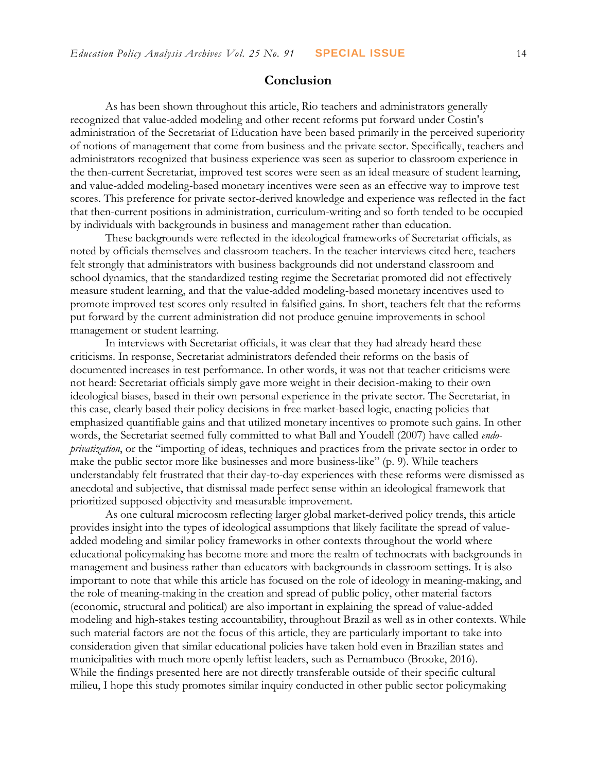#### **Conclusion**

As has been shown throughout this article, Rio teachers and administrators generally recognized that value-added modeling and other recent reforms put forward under Costin's administration of the Secretariat of Education have been based primarily in the perceived superiority of notions of management that come from business and the private sector. Specifically, teachers and administrators recognized that business experience was seen as superior to classroom experience in the then-current Secretariat, improved test scores were seen as an ideal measure of student learning, and value-added modeling-based monetary incentives were seen as an effective way to improve test scores. This preference for private sector-derived knowledge and experience was reflected in the fact that then-current positions in administration, curriculum-writing and so forth tended to be occupied by individuals with backgrounds in business and management rather than education.

These backgrounds were reflected in the ideological frameworks of Secretariat officials, as noted by officials themselves and classroom teachers. In the teacher interviews cited here, teachers felt strongly that administrators with business backgrounds did not understand classroom and school dynamics, that the standardized testing regime the Secretariat promoted did not effectively measure student learning, and that the value-added modeling-based monetary incentives used to promote improved test scores only resulted in falsified gains. In short, teachers felt that the reforms put forward by the current administration did not produce genuine improvements in school management or student learning.

In interviews with Secretariat officials, it was clear that they had already heard these criticisms. In response, Secretariat administrators defended their reforms on the basis of documented increases in test performance. In other words, it was not that teacher criticisms were not heard: Secretariat officials simply gave more weight in their decision-making to their own ideological biases, based in their own personal experience in the private sector. The Secretariat, in this case, clearly based their policy decisions in free market-based logic, enacting policies that emphasized quantifiable gains and that utilized monetary incentives to promote such gains. In other words, the Secretariat seemed fully committed to what Ball and Youdell (2007) have called *endoprivatization*, or the "importing of ideas, techniques and practices from the private sector in order to make the public sector more like businesses and more business-like" (p. 9). While teachers understandably felt frustrated that their day-to-day experiences with these reforms were dismissed as anecdotal and subjective, that dismissal made perfect sense within an ideological framework that prioritized supposed objectivity and measurable improvement.

As one cultural microcosm reflecting larger global market-derived policy trends, this article provides insight into the types of ideological assumptions that likely facilitate the spread of valueadded modeling and similar policy frameworks in other contexts throughout the world where educational policymaking has become more and more the realm of technocrats with backgrounds in management and business rather than educators with backgrounds in classroom settings. It is also important to note that while this article has focused on the role of ideology in meaning-making, and the role of meaning-making in the creation and spread of public policy, other material factors (economic, structural and political) are also important in explaining the spread of value-added modeling and high-stakes testing accountability, throughout Brazil as well as in other contexts. While such material factors are not the focus of this article, they are particularly important to take into consideration given that similar educational policies have taken hold even in Brazilian states and municipalities with much more openly leftist leaders, such as Pernambuco (Brooke, 2016). While the findings presented here are not directly transferable outside of their specific cultural milieu, I hope this study promotes similar inquiry conducted in other public sector policymaking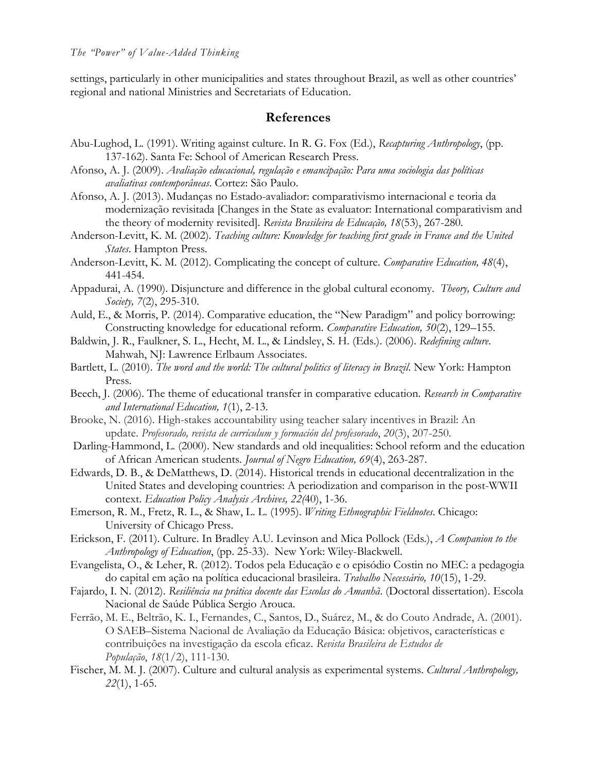settings, particularly in other municipalities and states throughout Brazil, as well as other countries' regional and national Ministries and Secretariats of Education.

## **References**

- Abu-Lughod, L. (1991). Writing against culture. In R. G. Fox (Ed.), *Recapturing Anthropology*, (pp. 137-162). Santa Fe: School of American Research Press.
- Afonso, A. J. (2009). *Avaliação educacional, regulação e emancipação: Para uma sociologia das políticas avaliativas contemporâneas*. Cortez: São Paulo.
- Afonso, A. J. (2013). Mudanças no Estado-avaliador: comparativismo internacional e teoria da modernização revisitada [Changes in the State as evaluator: International comparativism and the theory of modernity revisited]. *Revista Brasileira de Educação, 18*(53), 267-280.
- Anderson-Levitt, K. M. (2002). *Teaching culture: Knowledge for teaching first grade in France and the United States*. Hampton Press.
- Anderson-Levitt, K. M. (2012). Complicating the concept of culture. *Comparative Education, 48*(4), 441-454.
- Appadurai, A. (1990). Disjuncture and difference in the global cultural economy. *Theory, Culture and Society, 7*(2), 295-310.
- Auld, E., & Morris, P. (2014). Comparative education, the "New Paradigm" and policy borrowing: Constructing knowledge for educational reform. *Comparative Education, 50*(2), 129–155.
- Baldwin, J. R., Faulkner, S. L., Hecht, M. L., & Lindsley, S. H. (Eds.). (2006). *Redefining culture*. Mahwah, NJ: Lawrence Erlbaum Associates.
- Bartlett, L. (2010). *The word and the world: The cultural politics of literacy in Brazil*. New York: Hampton Press.
- Beech, J. (2006). The theme of educational transfer in comparative education. *Research in Comparative and International Education, 1*(1), 2-13.
- Brooke, N. (2016). High-stakes accountability using teacher salary incentives in Brazil: An update. *Profesorado, revista de currículum y formación del profesorado*, *20*(3), 207-250.
- Darling-Hammond, L. (2000). New standards and old inequalities: School reform and the education of African American students. *Journal of Negro Education, 69*(4), 263-287.
- Edwards, D. B., & DeMatthews, D. (2014). Historical trends in educational decentralization in the United States and developing countries: A periodization and comparison in the post-WWII context. *Education Policy Analysis Archives, 22(*40), 1-36.
- Emerson, R. M., Fretz, R. L., & Shaw, L. L. (1995). *Writing Ethnographic Fieldnotes*. Chicago: University of Chicago Press.
- Erickson, F. (2011). Culture. In Bradley A.U. Levinson and Mica Pollock (Eds.), *A Companion to the Anthropology of Education*, (pp. 25-33). New York: Wiley-Blackwell.
- Evangelista, O., & Leher, R. (2012). Todos pela Educação e o episódio Costin no MEC: a pedagogia do capital em ação na política educacional brasileira. *Trabalho Necessário, 10*(15), 1-29.
- Fajardo, I. N. (2012). *Resiliência na prática docente das Escolas do Amanhã*. (Doctoral dissertation). Escola Nacional de Saúde Pública Sergio Arouca.
- Ferrão, M. E., Beltrão, K. I., Fernandes, C., Santos, D., Suárez, M., & do Couto Andrade, A. (2001). O SAEB–Sistema Nacional de Avaliação da Educação Básica: objetivos, características e contribuições na investigação da escola eficaz. *Revista Brasileira de Estudos de População*, *18*(1/2), 111-130.
- Fischer, M. M. J. (2007). Culture and cultural analysis as experimental systems. *Cultural Anthropology, 22*(1), 1-65.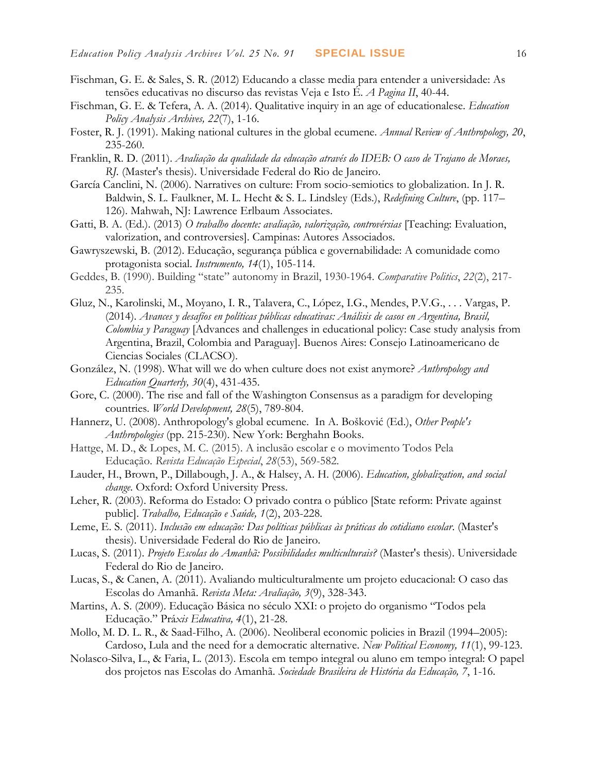- Fischman, G. E. & Sales, S. R. (2012) Educando a classe media para entender a universidade: As tensões educativas no discurso das revistas Veja e Isto É. *A Pagina II*, 40-44.
- Fischman, G. E. & Tefera, A. A. (2014). Qualitative inquiry in an age of educationalese. *Education Policy Analysis Archives, 22*(7), 1-16.
- Foster, R. J. (1991). Making national cultures in the global ecumene. *Annual Review of Anthropology, 20*, 235-260.
- Franklin, R. D. (2011). *Avaliação da qualidade da educação através do IDEB: O caso de Trajano de Moraes, RJ.* (Master's thesis). Universidade Federal do Rio de Janeiro.
- García Canclini, N. (2006). Narratives on culture: From socio-semiotics to globalization. In J. R. Baldwin, S. L. Faulkner, M. L. Hecht & S. L. Lindsley (Eds.), *Redefining Culture*, (pp. 117– 126). Mahwah, NJ: Lawrence Erlbaum Associates.
- Gatti, B. A. (Ed.). (2013) *O trabalho docente: avaliação, valorização, controvérsias* [Teaching: Evaluation, valorization, and controversies]. Campinas: Autores Associados.
- Gawryszewski, B. (2012). Educação, segurança pública e governabilidade: A comunidade como protagonista social. *Instrumento, 14*(1), 105-114.
- Geddes, B. (1990). Building "state" autonomy in Brazil, 1930-1964. *Comparative Politics*, *22*(2), 217- 235.
- Gluz, N., Karolinski, M., Moyano, I. R., Talavera, C., López, I.G., Mendes, P.V.G., . . . Vargas, P. (2014). *Avances y desafíos en políticas públicas educativas: Análisis de casos en Argentina, Brasil, Colombia y Paraguay* [Advances and challenges in educational policy: Case study analysis from Argentina, Brazil, Colombia and Paraguay]. Buenos Aires: Consejo Latinoamericano de Ciencias Sociales (CLACSO).
- González, N. (1998). What will we do when culture does not exist anymore? *Anthropology and Education Quarterly, 30*(4), 431-435.
- Gore, C. (2000). The rise and fall of the Washington Consensus as a paradigm for developing countries. *World Development, 28*(5), 789-804.
- Hannerz, U. (2008). Anthropology's global ecumene. In A. Bošković (Ed.), *Other People's Anthropologies* (pp. 215-230). New York: Berghahn Books.
- Hattge, M. D., & Lopes, M. C. (2015). A inclusão escolar e o movimento Todos Pela Educação. *Revista Educação Especial*, *28*(53), 569-582.
- Lauder, H., Brown, P., Dillabough, J. A., & Halsey, A. H. (2006). *Education, globalization, and social change*. Oxford: Oxford University Press.
- Leher, R. (2003). Reforma do Estado: O privado contra o público [State reform: Private against public]. *Trabalho, Educação e Saúde, 1*(2), 203-228.
- Leme, E. S. (2011). *Inclusão em educação: Das políticas públicas às práticas do cotidiano escolar*. (Master's thesis). Universidade Federal do Rio de Janeiro.
- Lucas, S. (2011). *Projeto Escolas do Amanhã: Possibilidades multiculturais?* (Master's thesis). Universidade Federal do Rio de Janeiro.
- Lucas, S., & Canen, A. (2011). Avaliando multiculturalmente um projeto educacional: O caso das Escolas do Amanhã. *Revista Meta: Avaliação, 3*(9), 328-343.
- Martins, A. S. (2009). Educação Básica no século XXI: o projeto do organismo "Todos pela Educação." Prá*xis Educativa, 4*(1), 21-28.
- Mollo, M. D. L. R., & Saad-Filho, A. (2006). Neoliberal economic policies in Brazil (1994–2005): Cardoso, Lula and the need for a democratic alternative. *New Political Economy, 11*(1), 99-123.
- Nolasco-Silva, L., & Faria, L. (2013). Escola em tempo integral ou aluno em tempo integral: O papel dos projetos nas Escolas do Amanhã. *Sociedade Brasileira de História da Educação, 7*, 1-16.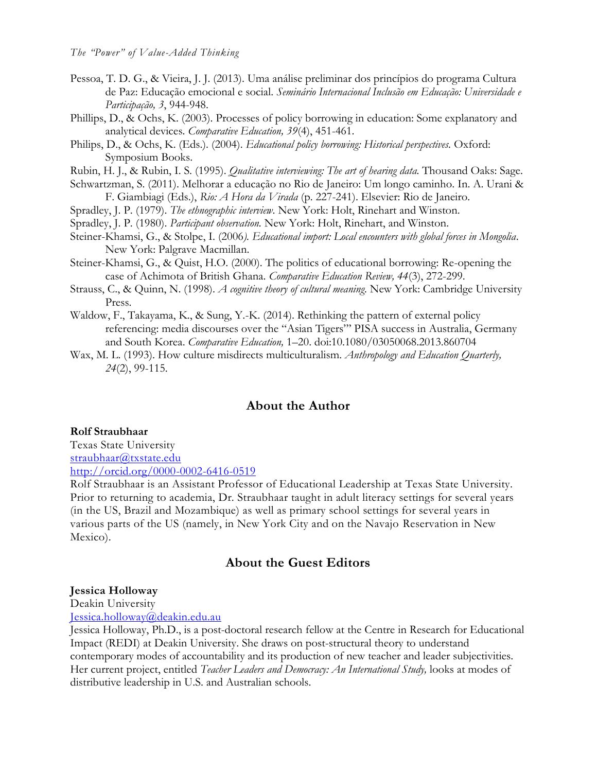- Pessoa, T. D. G., & Vieira, J. J. (2013). Uma análise preliminar dos princípios do programa Cultura de Paz: Educação emocional e social. *Seminário Internacional Inclusão em Educação: Universidade e Participação, 3*, 944-948.
- Phillips, D., & Ochs, K. (2003). Processes of policy borrowing in education: Some explanatory and analytical devices. *Comparative Education, 39*(4), 451-461.
- Philips, D., & Ochs, K. (Eds.). (2004). *Educational policy borrowing: Historical perspectives.* Oxford: Symposium Books.
- Rubin, H. J., & Rubin, I. S. (1995). *Qualitative interviewing: The art of hearing data.* Thousand Oaks: Sage.
- Schwartzman, S. (2011). Melhorar a educação no Rio de Janeiro: Um longo caminho. In. A. Urani & F. Giambiagi (Eds.), *Rio: A Hora da Virada* (p. 227-241). Elsevier: Rio de Janeiro.
- Spradley, J. P. (1979). *The ethnographic interview*. New York: Holt, Rinehart and Winston.
- Spradley, J. P. (1980). *Participant observation.* New York: Holt, Rinehart, and Winston.
- Steiner-Khamsi, G., & Stolpe, I. (2006*). Educational import: Local encounters with global forces in Mongolia*. New York: Palgrave Macmillan.
- Steiner-Khamsi, G., & Quist, H.O. (2000). The politics of educational borrowing: Re-opening the case of Achimota of British Ghana. *Comparative Education Review, 44*(3), 272-299.
- Strauss, C., & Quinn, N. (1998). *A cognitive theory of cultural meaning.* New York: Cambridge University Press.
- Waldow, F., Takayama, K., & Sung, Y.-K. (2014). Rethinking the pattern of external policy referencing: media discourses over the "Asian Tigers"' PISA success in Australia, Germany and South Korea. *Comparative Education,* 1–20. doi:10.1080/03050068.2013.860704
- Wax, M. L. (1993). How culture misdirects multiculturalism. *Anthropology and Education Quarterly, 24*(2), 99-115.

## **About the Author**

#### **Rolf Straubhaar**

Texas State University [straubhaar@txstate.edu](mailto:straubhaar@txstate.edu) <http://orcid.org/0000-0002-6416-0519>

Rolf Straubhaar is an Assistant Professor of Educational Leadership at Texas State University. Prior to returning to academia, Dr. Straubhaar taught in adult literacy settings for several years (in the US, Brazil and Mozambique) as well as primary school settings for several years in various parts of the US (namely, in New York City and on the Navajo Reservation in New Mexico).

## **About the Guest Editors**

#### **Jessica Holloway**

Deakin University

[Jessica.holloway@deakin.edu.au](mailto:Jessica.holloway@deakin.edu.au)

Jessica Holloway, Ph.D., is a post-doctoral research fellow at the Centre in Research for Educational Impact (REDI) at Deakin University. She draws on post-structural theory to understand contemporary modes of accountability and its production of new teacher and leader subjectivities. Her current project, entitled *Teacher Leaders and Democracy: An International Study,* looks at modes of distributive leadership in U.S. and Australian schools.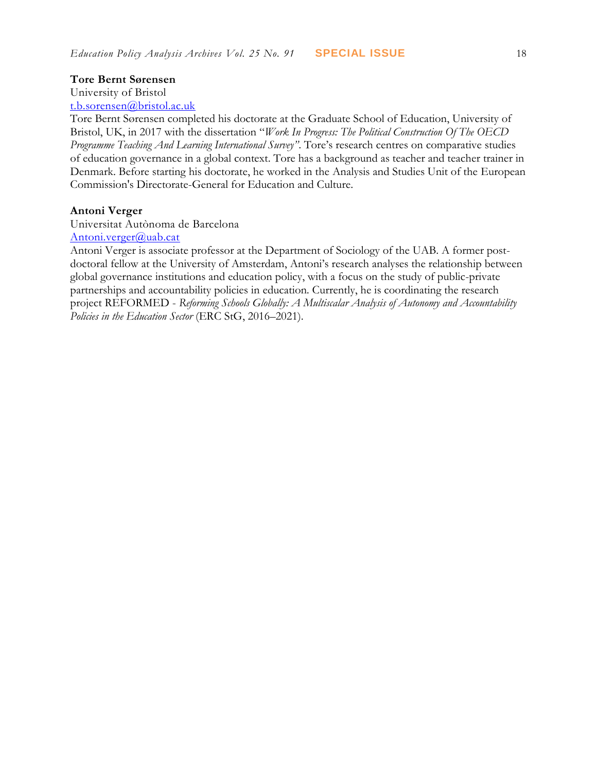#### **Tore Bernt Sørensen**

University of Bristol

[t.b.sorensen@bristol.ac.uk](mailto:t.b.sorensen@bristol.ac.uk)

Tore Bernt Sørensen completed his doctorate at the Graduate School of Education, University of Bristol, UK, in 2017 with the dissertation "*Work In Progress: The Political Construction Of The OECD Programme Teaching And Learning International Survey"*. Tore's research centres on comparative studies of education governance in a global context. Tore has a background as teacher and teacher trainer in Denmark. Before starting his doctorate, he worked in the Analysis and Studies Unit of the European Commission's Directorate-General for Education and Culture.

#### **Antoni Verger**

Universitat Autònoma de Barcelona

[Antoni.verger@uab.cat](mailto:Antoni.verger@uab.cat)

Antoni Verger is associate professor at the Department of Sociology of the UAB. A former postdoctoral fellow at the University of Amsterdam, Antoni's research analyses the relationship between global governance institutions and education policy, with a focus on the study of public-private partnerships and accountability policies in education. Currently, he is coordinating the research project REFORMED - *Reforming Schools Globally: A Multiscalar Analysis of Autonomy and Accountability Policies in the Education Sector* (ERC StG, 2016–2021).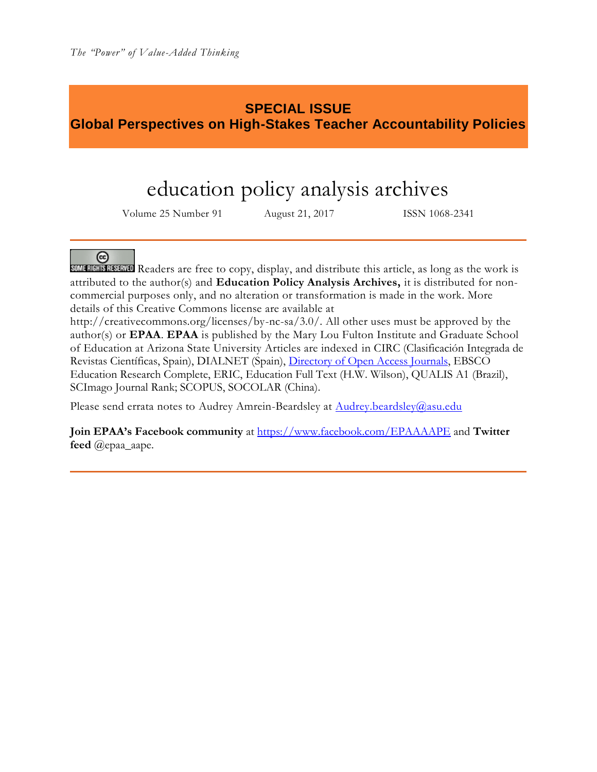## **SPECIAL ISSUE Global Perspectives on High-Stakes Teacher Accountability Policies**

# education policy analysis archives

Volume 25 Number 91 August 21, 2017 ISSN 1068-2341



SOME RIGHTS RESERVED Readers are free to copy, display, and distribute this article, as long as the work is attributed to the author(s) and **Education Policy Analysis Archives,** it is distributed for noncommercial purposes only, and no alteration or transformation is made in the work. More details of this Creative Commons license are available at

http://creativecommons.org/licenses/by-nc-sa/3.0/. All other uses must be approved by the author(s) or **EPAA**. **EPAA** is published by the Mary Lou Fulton Institute and Graduate School of Education at Arizona State University Articles are indexed in CIRC (Clasificación Integrada de Revistas Científicas, Spain), DIALNET (Spain), [Directory of Open Access Journals,](http://www.doaj.org/) EBSCO Education Research Complete, ERIC, Education Full Text (H.W. Wilson), QUALIS A1 (Brazil), SCImago Journal Rank; SCOPUS, SOCOLAR (China).

Please send errata notes to Audrey Amrein-Beardsley at [Audrey.beardsley@asu.edu](mailto:Audrey.beardsley@asu.edu)

**Join EPAA's Facebook community** at<https://www.facebook.com/EPAAAAPE> and **Twitter feed** @epaa\_aape.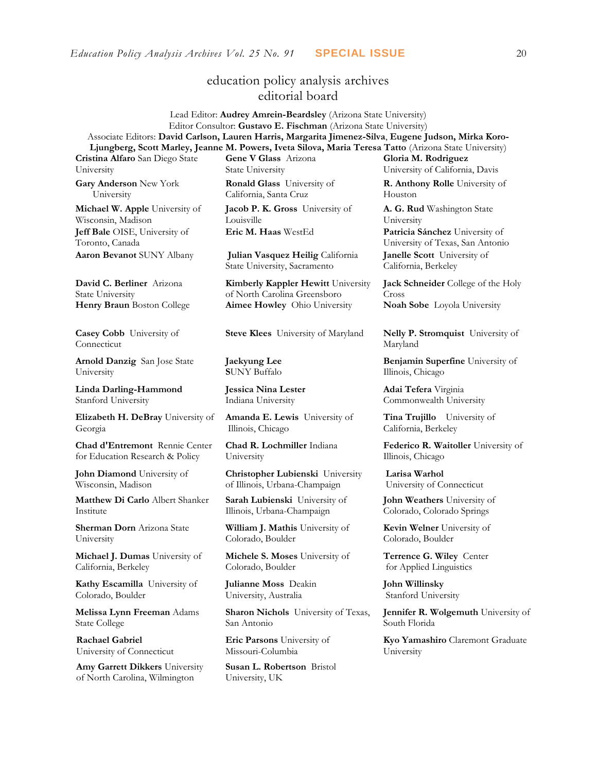## education policy analysis archives editorial board

Lead Editor: **Audrey Amrein-Beardsley** (Arizona State University) Editor Consultor: **Gustavo E. Fischman** (Arizona State University) Associate Editors: **David Carlson, Lauren Harris, Margarita Jimenez-Silva**, **Eugene Judson, Mirka Koro-Ljungberg, Scott Marley, Jeanne M. Powers, Iveta Silova, Maria Teresa Tatto** (Arizona State University)

**Cristina Alfaro** San Diego State University

**Gary Anderson** New York University

**Michael W. Apple** University of Wisconsin, Madison **Jeff Bale** OISE, University of Toronto, Canada **Aaron Bevanot** SUNY Albany **Julian Vasquez Heilig** California

**David C. Berliner** Arizona State University

**Casey Cobb** University of Connecticut

**Arnold Danzig** San Jose State University

**Linda Darling-Hammond**  Stanford University

**Elizabeth H. DeBray** University of Georgia

**Chad d'Entremont** Rennie Center for Education Research & Policy

**John Diamond** University of Wisconsin, Madison

**Matthew Di Carlo** Albert Shanker Institute

**Sherman Dorn** Arizona State University

**Michael J. Dumas** University of California, Berkeley

**Kathy Escamilla** University of Colorado, Boulder

**Melissa Lynn Freeman** Adams State College

**Rachael Gabriel** University of Connecticut

**Amy Garrett Dikkers** University of North Carolina, Wilmington

**Gene V Glass** Arizona State University

**Ronald Glass** University of California, Santa Cruz

**Jacob P. K. Gross** University of Louisville

State University, Sacramento

**Kimberly Kappler Hewitt** University of North Carolina Greensboro **Henry Braun** Boston College **Aimee Howley** Ohio University **Noah Sobe** Loyola University

**Steve Klees** University of Maryland **Nelly P. Stromquist** University of

**Jaekyung Lee S**UNY Buffalo

**Jessica Nina Lester** Indiana University

**Amanda E. Lewis** University of Illinois, Chicago

**Chad R. Lochmiller** Indiana University

**Christopher Lubienski** University of Illinois, Urbana-Champaign

**Sarah Lubienski** University of Illinois, Urbana-Champaign

**William J. Mathis** University of Colorado, Boulder

**Michele S. Moses** University of Colorado, Boulder

**Julianne Moss** Deakin University, Australia

**Sharon Nichols** University of Texas, San Antonio

**Eric Parsons** University of Missouri-Columbia

**Susan L. Robertson** Bristol University, UK

**Gloria M. Rodriguez** University of California, Davis **R. Anthony Rolle** University of

Houston

**A. G. Rud** Washington State University **Eric M. Haas** WestEd **Patricia Sánchez** University of University of Texas, San Antonio **Janelle Scott** University of California, Berkeley

> **Jack Schneider** College of the Holy Cross

Maryland

**Benjamin Superfine** University of Illinois, Chicago

**Adai Tefera** Virginia Commonwealth University

**Tina Trujillo** University of California, Berkeley

**Federico R. Waitoller** University of Illinois, Chicago

**Larisa Warhol** University of Connecticut

**John Weathers** University of Colorado, Colorado Springs

**Kevin Welner** University of Colorado, Boulder

**Terrence G. Wiley** Center for Applied Linguistics

**John Willinsky**  Stanford University

**Jennifer R. Wolgemuth** University of South Florida

**Kyo Yamashiro** Claremont Graduate University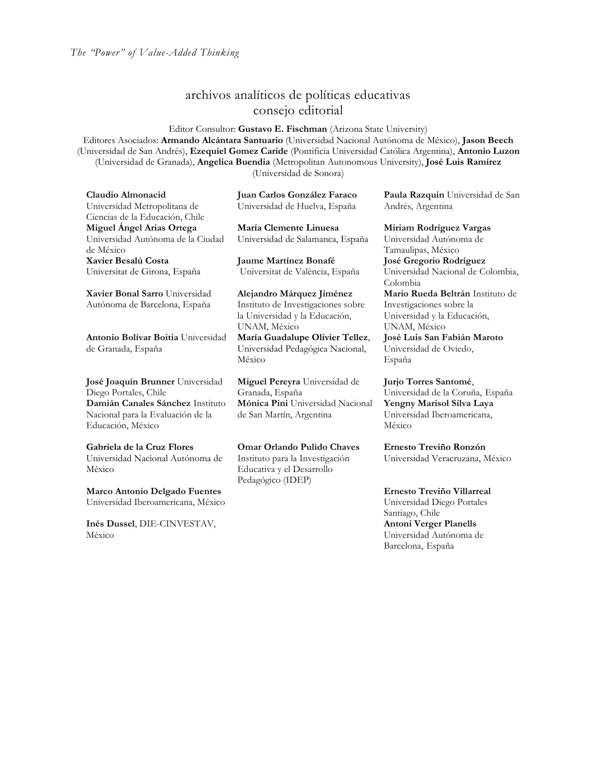## archivos analíticos de políticas educativas consejo editorial

Editor Consultor: **Gustavo E. Fischman** (Arizona State University) Editores Asociados: **Armando Alcántara Santuario** (Universidad Nacional Autónoma de México), **Jason Beech** (Universidad de San Andrés), **Ezequiel Gomez Caride** (Pontificia Universidad Católica Argentina), **Antonio Luzon** (Universidad de Granada), **Angelica Buendia** (Metropolitan Autonomous University), **José Luis Ramírez** (Universidad de Sonora)

**Claudio Almonacid** Universidad Metropolitana de Ciencias de la Educación, Chile **Miguel Ángel Arias Ortega**  Universidad Autónoma de la Ciudad de México **Xavier Besalú Costa**  Universitat de Girona, España

**[Xavier Bonal](javascript:openRTWindow() Sarro** Universidad Autónoma de Barcelona, España

**[Antonio Bolívar](javascript:openRTWindow() Boitia** Universidad de Granada, España

**[José Joaquín Brunner](javascript:openRTWindow()** Universidad Diego Portales, Chile **[Damián Canales Sánchez](javascript:openRTWindow()** Instituto Nacional para la Evaluación de la Educación, México

**Gabriela de la Cruz Flores** Universidad Nacional Autónoma de México

**[Marco Antonio Delgado Fuentes](javascript:openRTWindow()** Universidad Iberoamericana, México

**[Inés Dussel](javascript:openRTWindow()**, DIE-CINVESTAV, México

**Juan Carlos González Faraco**  Universidad de Huelva, España

**María Clemente Linuesa**  Universidad de Salamanca, España

**Jaume Martínez Bonafé** Universitat de València, España

**Alejandro Márquez Jiménez**  Instituto de Investigaciones sobre la Universidad y la Educación, UNAM, México

**María Guadalupe Olivier Tellez**, Universidad Pedagógica Nacional, México

**[Miguel Pereyra](javascript:openRTWindow()** Universidad de Granada, España **[Mónica Pini](javascript:openRTWindow()** Universidad Nacional de San Martín, Argentina

**Omar Orlando Pulido Chaves** Instituto para la Investigación Educativa y el Desarrollo Pedagógico (IDEP)

**[Paula Razquin](javascript:openRTWindow()** Universidad de San Andrés, Argentina

**[Miriam Rodríguez Vargas](javascript:openRTWindow()** Universidad Autónoma de Tamaulipas, México **José Gregorio Rodríguez**  Universidad Nacional de Colombia, Colombia **[Mario Rueda Beltrán](javascript:openRTWindow()** Instituto de

Investigaciones sobre la Universidad y la Educación, UNAM, México **José Luis San Fabián Maroto**  Universidad de Oviedo,

España **[Jurjo Torres Santomé](javascript:openRTWindow()**, Universidad de la Coruña, España **[Yengny Marisol Silva Laya](javascript:openRTWindow()** Universidad Iberoamericana, México

**Ernesto Treviño Ronzón** Universidad Veracruzana, México

**[Ernesto Treviño](javascript:openRTWindow() Villarreal** Universidad Diego Portales Santiago, Chile **[Antoni Verger Planells](javascript:openRTWindow()** Universidad Autónoma de Barcelona, España